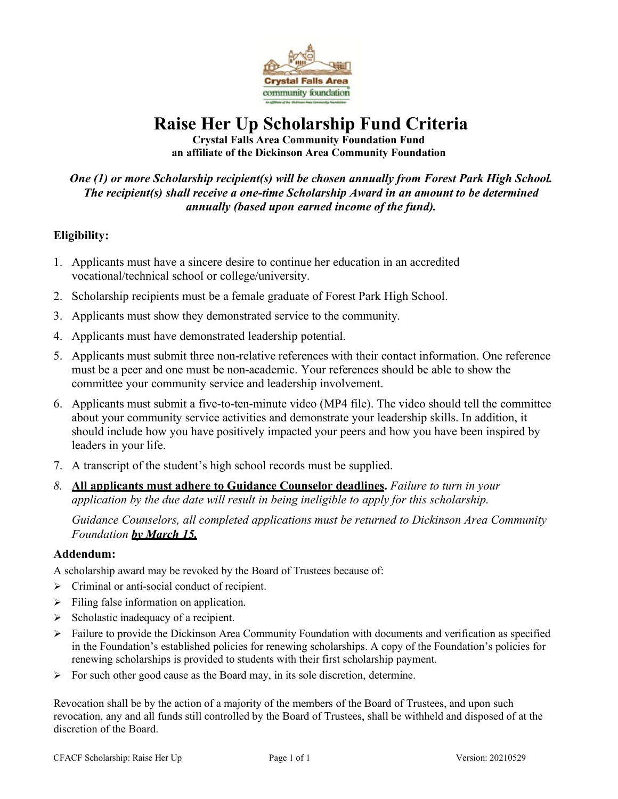

# **Raise Her Up Scholarship Fund Criteria**

**Crystal Falls Area Community Foundation Fund an affiliate of the Dickinson Area Community Foundation**

# *One (1) or more Scholarship recipient(s) will be chosen annually from Forest Park High School. The recipient(s) shall receive a one-time Scholarship Award in an amount to be determined annually (based upon earned income of the fund).*

## **Eligibility:**

- 1. Applicants must have a sincere desire to continue her education in an accredited vocational/technical school or college/university.
- 2. Scholarship recipients must be a female graduate of Forest Park High School.
- 3. Applicants must show they demonstrated service to the community.
- 4. Applicants must have demonstrated leadership potential.
- 5. Applicants must submit three non-relative references with their contact information. One reference must be a peer and one must be non-academic. Your references should be able to show the committee your community service and leadership involvement.
- 6. Applicants must submit a five-to-ten-minute video (MP4 file). The video should tell the committee about your community service activities and demonstrate your leadership skills. In addition, it should include how you have positively impacted your peers and how you have been inspired by leaders in your life.
- 7. A transcript of the student's high school records must be supplied.
- *8.* **All applicants must adhere to Guidance Counselor deadlines.** *Failure to turn in your application by the due date will result in being ineligible to apply for this scholarship.*

*Guidance Counselors, all completed applications must be returned to Dickinson Area Community Foundation by March 15.*

#### **Addendum:**

A scholarship award may be revoked by the Board of Trustees because of:

- $\triangleright$  Criminal or anti-social conduct of recipient.
- $\triangleright$  Filing false information on application.
- $\triangleright$  Scholastic inadequacy of a recipient.
- $\triangleright$  Failure to provide the Dickinson Area Community Foundation with documents and verification as specified in the Foundation's established policies for renewing scholarships. A copy of the Foundation's policies for renewing scholarships is provided to students with their first scholarship payment.
- $\triangleright$  For such other good cause as the Board may, in its sole discretion, determine.

Revocation shall be by the action of a majority of the members of the Board of Trustees, and upon such revocation, any and all funds still controlled by the Board of Trustees, shall be withheld and disposed of at the discretion of the Board.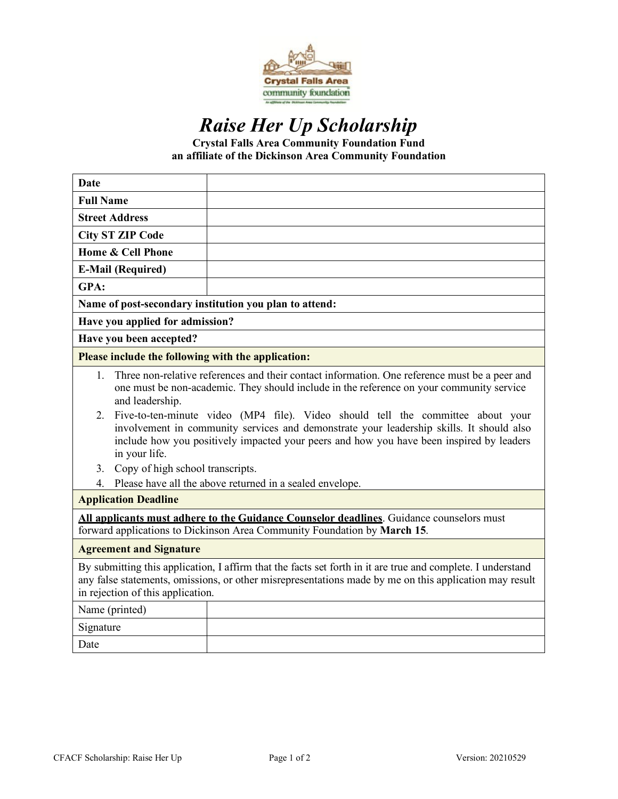

# *Raise Her Up Scholarship*

**Crystal Falls Area Community Foundation Fund an affiliate of the Dickinson Area Community Foundation**

| <b>Date</b>                                                                                                                                                                                                                                                                                                                                                                                                                                                                                                                                                                                                                                                  |  |  |
|--------------------------------------------------------------------------------------------------------------------------------------------------------------------------------------------------------------------------------------------------------------------------------------------------------------------------------------------------------------------------------------------------------------------------------------------------------------------------------------------------------------------------------------------------------------------------------------------------------------------------------------------------------------|--|--|
| <b>Full Name</b>                                                                                                                                                                                                                                                                                                                                                                                                                                                                                                                                                                                                                                             |  |  |
| <b>Street Address</b>                                                                                                                                                                                                                                                                                                                                                                                                                                                                                                                                                                                                                                        |  |  |
| <b>City ST ZIP Code</b>                                                                                                                                                                                                                                                                                                                                                                                                                                                                                                                                                                                                                                      |  |  |
| Home & Cell Phone                                                                                                                                                                                                                                                                                                                                                                                                                                                                                                                                                                                                                                            |  |  |
| <b>E-Mail (Required)</b>                                                                                                                                                                                                                                                                                                                                                                                                                                                                                                                                                                                                                                     |  |  |
| GPA:                                                                                                                                                                                                                                                                                                                                                                                                                                                                                                                                                                                                                                                         |  |  |
| Name of post-secondary institution you plan to attend:                                                                                                                                                                                                                                                                                                                                                                                                                                                                                                                                                                                                       |  |  |
| Have you applied for admission?                                                                                                                                                                                                                                                                                                                                                                                                                                                                                                                                                                                                                              |  |  |
| Have you been accepted?                                                                                                                                                                                                                                                                                                                                                                                                                                                                                                                                                                                                                                      |  |  |
| Please include the following with the application:                                                                                                                                                                                                                                                                                                                                                                                                                                                                                                                                                                                                           |  |  |
| Three non-relative references and their contact information. One reference must be a peer and<br>1.<br>one must be non-academic. They should include in the reference on your community service<br>and leadership.<br>Five-to-ten-minute video (MP4 file). Video should tell the committee about your<br>2.<br>involvement in community services and demonstrate your leadership skills. It should also<br>include how you positively impacted your peers and how you have been inspired by leaders<br>in your life.<br>3. Copy of high school transcripts.<br>Please have all the above returned in a sealed envelope.<br>4.<br><b>Application Deadline</b> |  |  |
| All applicants must adhere to the Guidance Counselor deadlines. Guidance counselors must<br>forward applications to Dickinson Area Community Foundation by March 15.                                                                                                                                                                                                                                                                                                                                                                                                                                                                                         |  |  |
| <b>Agreement and Signature</b>                                                                                                                                                                                                                                                                                                                                                                                                                                                                                                                                                                                                                               |  |  |
| By submitting this application, I affirm that the facts set forth in it are true and complete. I understand<br>any false statements, omissions, or other misrepresentations made by me on this application may result<br>in rejection of this application.                                                                                                                                                                                                                                                                                                                                                                                                   |  |  |
| Name (printed)                                                                                                                                                                                                                                                                                                                                                                                                                                                                                                                                                                                                                                               |  |  |
| Signature                                                                                                                                                                                                                                                                                                                                                                                                                                                                                                                                                                                                                                                    |  |  |
| Date                                                                                                                                                                                                                                                                                                                                                                                                                                                                                                                                                                                                                                                         |  |  |